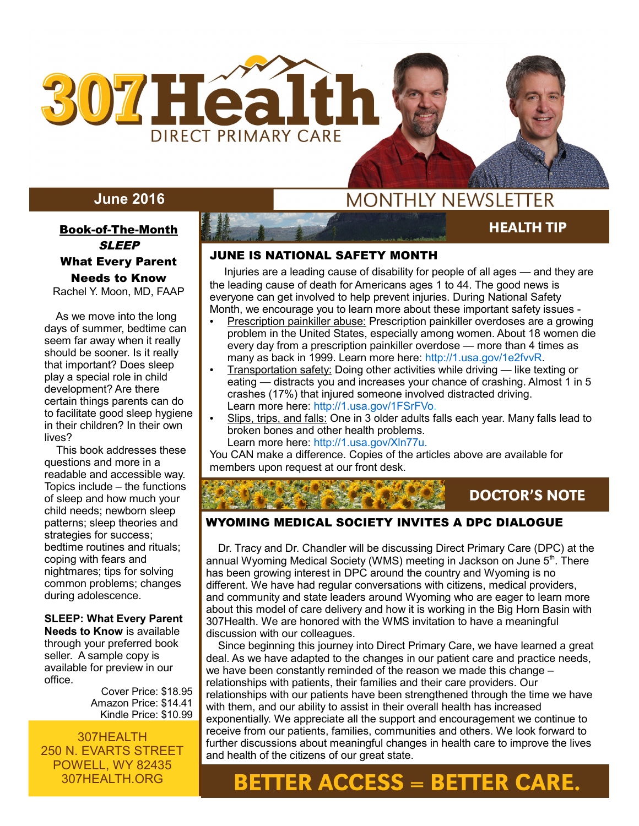

# **June 2016**

## Book-of-The-Month **SLEEP**

# What Every Parent Needs to Know

Rachel Y. Moon, MD, FAAP

 As we move into the long days of summer, bedtime can seem far away when it really should be sooner. Is it really that important? Does sleep play a special role in child development? Are there certain things parents can do to facilitate good sleep hygiene in their children? In their own lives?

 This book addresses these questions and more in a readable and accessible way. Topics include – the functions of sleep and how much your child needs; newborn sleep patterns; sleep theories and strategies for success; bedtime routines and rituals; coping with fears and nightmares; tips for solving common problems; changes during adolescence.

**SLEEP: What Every Parent Needs to Know** is available

through your preferred book seller. A sample copy is available for preview in our office.

> Cover Price: \$18.95 Amazon Price: \$14.41 Kindle Price: \$10.99

307HEALTH 250 N. EVARTS STREET POWELL, WY 82435 307HEALTH.ORG

# **MONTHLY NEWSLETTER**

# **HEALTH TIP**

**AUGUST 2015** 

## JUNE IS NATIONAL SAFETY MONTH

 Injuries are a leading cause of disability for people of all ages — and they are the leading cause of death for Americans ages 1 to 44. The good news is everyone can get involved to help prevent injuries. During National Safety Month, we encourage you to learn more about these important safety issues -

- **Prescription painkiller abuse: Prescription painkiller overdoses are a growing** problem in the United States, especially among women. About 18 women die every day from a prescription painkiller overdose — more than 4 times as many as back in 1999. Learn more here: http://1.usa.gov/1e2fvvR.
- Transportation safety: Doing other activities while driving like texting or eating — distracts you and increases your chance of crashing. Almost 1 in 5 crashes (17%) that injured someone involved distracted driving. Learn more here: http://1.usa.gov/1FSrFVo.
- Slips, trips, and falls: One in 3 older adults falls each year. Many falls lead to broken bones and other health problems. Learn more here: http://1.usa.gov/Xln77u.

You CAN make a difference. Copies of the articles above are available for members upon request at our front desk.

**DOCTOR'S NOTE** 

## WYOMING MEDICAL SOCIETY INVITES A DPC DIALOGUE

 Dr. Tracy and Dr. Chandler will be discussing Direct Primary Care (DPC) at the annual Wyoming Medical Society (WMS) meeting in Jackson on June 5<sup>th</sup>. There has been growing interest in DPC around the country and Wyoming is no different. We have had regular conversations with citizens, medical providers, and community and state leaders around Wyoming who are eager to learn more about this model of care delivery and how it is working in the Big Horn Basin with 307Health. We are honored with the WMS invitation to have a meaningful discussion with our colleagues.

 Since beginning this journey into Direct Primary Care, we have learned a great deal. As we have adapted to the changes in our patient care and practice needs, we have been constantly reminded of the reason we made this change – relationships with patients, their families and their care providers. Our relationships with our patients have been strengthened through the time we have with them, and our ability to assist in their overall health has increased exponentially. We appreciate all the support and encouragement we continue to receive from our patients, families, communities and others. We look forward to further discussions about meaningful changes in health care to improve the lives and health of the citizens of our great state.

# **BETTER ACCESS = BETTER CARE.**